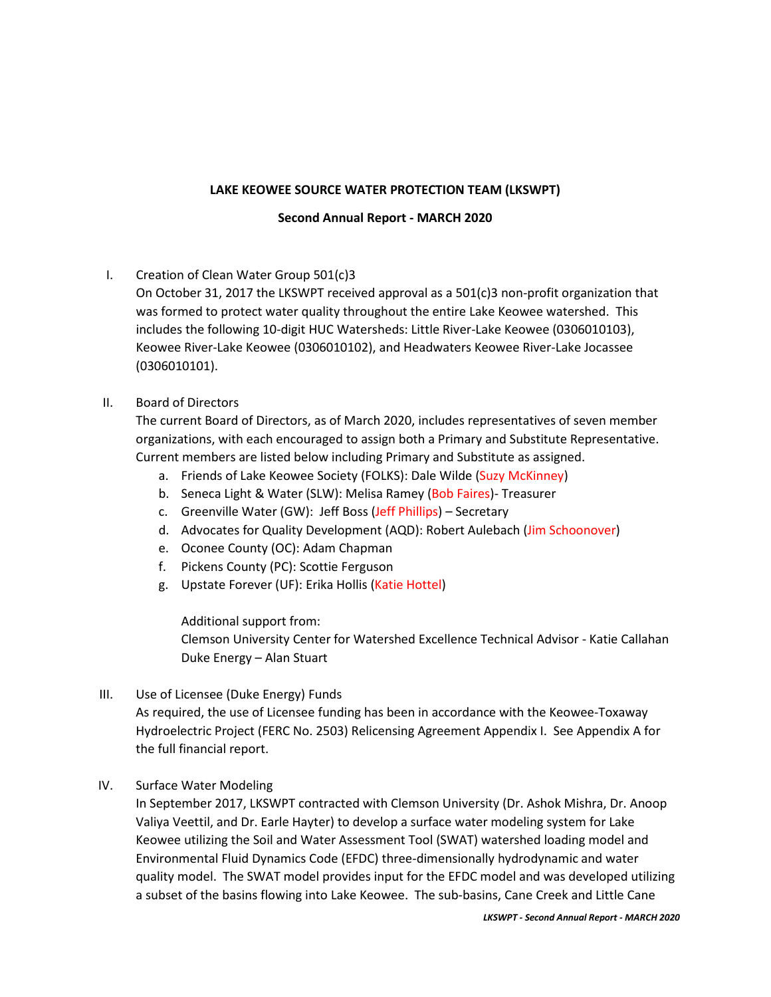## **LAKE KEOWEE SOURCE WATER PROTECTION TEAM (LKSWPT)**

#### **Second Annual Report - MARCH 2020**

I. Creation of Clean Water Group 501(c)3

On October 31, 2017 the LKSWPT received approval as a 501(c)3 non-profit organization that was formed to protect water quality throughout the entire Lake Keowee watershed. This includes the following 10-digit HUC Watersheds: Little River-Lake Keowee (0306010103), Keowee River-Lake Keowee (0306010102), and Headwaters Keowee River-Lake Jocassee (0306010101).

#### II. Board of Directors

The current Board of Directors, as of March 2020, includes representatives of seven member organizations, with each encouraged to assign both a Primary and Substitute Representative. Current members are listed below including Primary and Substitute as assigned.

- a. Friends of Lake Keowee Society (FOLKS): Dale Wilde (Suzy McKinney)
- b. Seneca Light & Water (SLW): Melisa Ramey (Bob Faires)- Treasurer
- c. Greenville Water (GW): Jeff Boss (Jeff Phillips) Secretary
- d. Advocates for Quality Development (AQD): Robert Aulebach (Jim Schoonover)
- e. Oconee County (OC): Adam Chapman
- f. Pickens County (PC): Scottie Ferguson
- g. Upstate Forever (UF): Erika Hollis (Katie Hottel)

Additional support from:

Clemson University Center for Watershed Excellence Technical Advisor - Katie Callahan Duke Energy – Alan Stuart

III. Use of Licensee (Duke Energy) Funds

As required, the use of Licensee funding has been in accordance with the Keowee-Toxaway Hydroelectric Project (FERC No. 2503) Relicensing Agreement Appendix I. See Appendix A for the full financial report.

## IV. Surface Water Modeling

In September 2017, LKSWPT contracted with Clemson University (Dr. Ashok Mishra, Dr. Anoop Valiya Veettil, and Dr. Earle Hayter) to develop a surface water modeling system for Lake Keowee utilizing the Soil and Water Assessment Tool (SWAT) watershed loading model and Environmental Fluid Dynamics Code (EFDC) three-dimensionally hydrodynamic and water quality model. The SWAT model provides input for the EFDC model and was developed utilizing a subset of the basins flowing into Lake Keowee. The sub-basins, Cane Creek and Little Cane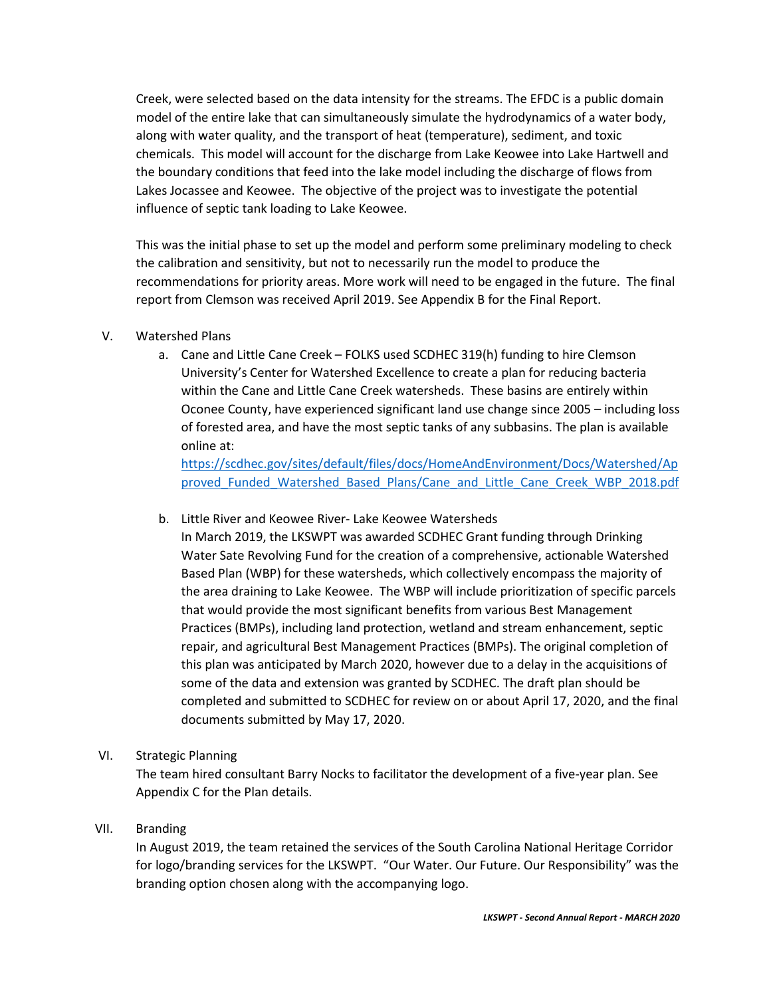Creek, were selected based on the data intensity for the streams. The EFDC is a public domain model of the entire lake that can simultaneously simulate the hydrodynamics of a water body, along with water quality, and the transport of heat (temperature), sediment, and toxic chemicals. This model will account for the discharge from Lake Keowee into Lake Hartwell and the boundary conditions that feed into the lake model including the discharge of flows from Lakes Jocassee and Keowee. The objective of the project was to investigate the potential influence of septic tank loading to Lake Keowee.

This was the initial phase to set up the model and perform some preliminary modeling to check the calibration and sensitivity, but not to necessarily run the model to produce the recommendations for priority areas. More work will need to be engaged in the future. The final report from Clemson was received April 2019. See Appendix B for the Final Report.

## V. Watershed Plans

a. Cane and Little Cane Creek – FOLKS used SCDHEC 319(h) funding to hire Clemson University's Center for Watershed Excellence to create a plan for reducing bacteria within the Cane and Little Cane Creek watersheds. These basins are entirely within Oconee County, have experienced significant land use change since 2005 – including loss of forested area, and have the most septic tanks of any subbasins. The plan is available online at:

[https://scdhec.gov/sites/default/files/docs/HomeAndEnvironment/Docs/Watershed/Ap](https://scdhec.gov/sites/default/files/docs/HomeAndEnvironment/Docs/Watershed/Approved_Funded_Watershed_Based_Plans/Cane_and_Little_Cane_Creek_WBP_2018.pdf) [proved\\_Funded\\_Watershed\\_Based\\_Plans/Cane\\_and\\_Little\\_Cane\\_Creek\\_WBP\\_2018.pdf](https://scdhec.gov/sites/default/files/docs/HomeAndEnvironment/Docs/Watershed/Approved_Funded_Watershed_Based_Plans/Cane_and_Little_Cane_Creek_WBP_2018.pdf)

b. Little River and Keowee River- Lake Keowee Watersheds

In March 2019, the LKSWPT was awarded SCDHEC Grant funding through Drinking Water Sate Revolving Fund for the creation of a comprehensive, actionable Watershed Based Plan (WBP) for these watersheds, which collectively encompass the majority of the area draining to Lake Keowee. The WBP will include prioritization of specific parcels that would provide the most significant benefits from various Best Management Practices (BMPs), including land protection, wetland and stream enhancement, septic repair, and agricultural Best Management Practices (BMPs). The original completion of this plan was anticipated by March 2020, however due to a delay in the acquisitions of some of the data and extension was granted by SCDHEC. The draft plan should be completed and submitted to SCDHEC for review on or about April 17, 2020, and the final documents submitted by May 17, 2020.

VI. Strategic Planning

The team hired consultant Barry Nocks to facilitator the development of a five-year plan. See Appendix C for the Plan details.

## VII. Branding

In August 2019, the team retained the services of the South Carolina National Heritage Corridor for logo/branding services for the LKSWPT. "Our Water. Our Future. Our Responsibility" was the branding option chosen along with the accompanying logo.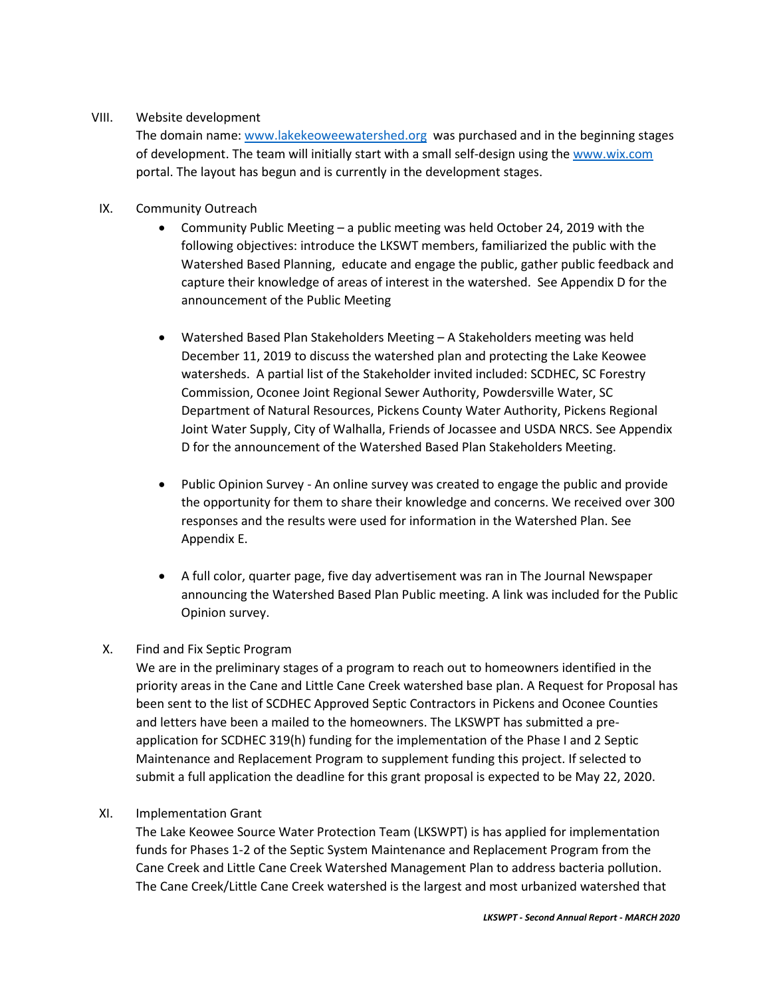# VIII. Website development

The domain name: [www.lakekeoweewatershed.org](http://www.lakekeoweewatershed.org/) was purchased and in the beginning stages of development. The team will initially start with a small self-design using the [www.wix.com](http://www.wix.com/) portal. The layout has begun and is currently in the development stages.

- IX. Community Outreach
	- Community Public Meeting a public meeting was held October 24, 2019 with the following objectives: introduce the LKSWT members, familiarized the public with the Watershed Based Planning, educate and engage the public, gather public feedback and capture their knowledge of areas of interest in the watershed. See Appendix D for the announcement of the Public Meeting
	- Watershed Based Plan Stakeholders Meeting A Stakeholders meeting was held December 11, 2019 to discuss the watershed plan and protecting the Lake Keowee watersheds. A partial list of the Stakeholder invited included: SCDHEC, SC Forestry Commission, Oconee Joint Regional Sewer Authority, Powdersville Water, SC Department of Natural Resources, Pickens County Water Authority, Pickens Regional Joint Water Supply, City of Walhalla, Friends of Jocassee and USDA NRCS. See Appendix D for the announcement of the Watershed Based Plan Stakeholders Meeting.
	- Public Opinion Survey An online survey was created to engage the public and provide the opportunity for them to share their knowledge and concerns. We received over 300 responses and the results were used for information in the Watershed Plan. See Appendix E.
	- A full color, quarter page, five day advertisement was ran in The Journal Newspaper announcing the Watershed Based Plan Public meeting. A link was included for the Public Opinion survey.

# X. Find and Fix Septic Program

We are in the preliminary stages of a program to reach out to homeowners identified in the priority areas in the Cane and Little Cane Creek watershed base plan. A Request for Proposal has been sent to the list of SCDHEC Approved Septic Contractors in Pickens and Oconee Counties and letters have been a mailed to the homeowners. The LKSWPT has submitted a preapplication for SCDHEC 319(h) funding for the implementation of the Phase I and 2 Septic Maintenance and Replacement Program to supplement funding this project. If selected to submit a full application the deadline for this grant proposal is expected to be May 22, 2020.

## XI. Implementation Grant

The Lake Keowee Source Water Protection Team (LKSWPT) is has applied for implementation funds for Phases 1-2 of the Septic System Maintenance and Replacement Program from the Cane Creek and Little Cane Creek Watershed Management Plan to address bacteria pollution. The Cane Creek/Little Cane Creek watershed is the largest and most urbanized watershed that